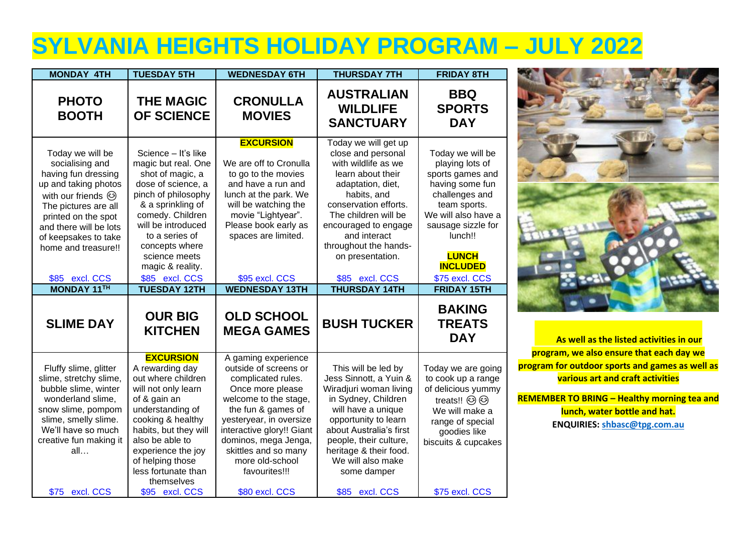## **SYLVANIA HEIGHTS HOLIDAY PROGRAM – JULY 2022**

| <b>MONDAY 4TH</b>                                                                                                                                                                                                                                                              | <b>TUESDAY 5TH</b>                                                                                                                                                                                                                                                                           | <b>WEDNESDAY 6TH</b>                                                                                                                                                                                                                                                                                | <b>THURSDAY 7TH</b>                                                                                                                                                                                                                                                                                        | <b>FRIDAY 8TH</b>                                                                                                                                                                                                                               |
|--------------------------------------------------------------------------------------------------------------------------------------------------------------------------------------------------------------------------------------------------------------------------------|----------------------------------------------------------------------------------------------------------------------------------------------------------------------------------------------------------------------------------------------------------------------------------------------|-----------------------------------------------------------------------------------------------------------------------------------------------------------------------------------------------------------------------------------------------------------------------------------------------------|------------------------------------------------------------------------------------------------------------------------------------------------------------------------------------------------------------------------------------------------------------------------------------------------------------|-------------------------------------------------------------------------------------------------------------------------------------------------------------------------------------------------------------------------------------------------|
| <b>PHOTO</b><br><b>BOOTH</b>                                                                                                                                                                                                                                                   | <b>THE MAGIC</b><br><b>OF SCIENCE</b>                                                                                                                                                                                                                                                        | <b>CRONULLA</b><br><b>MOVIES</b>                                                                                                                                                                                                                                                                    | <b>AUSTRALIAN</b><br><b>WILDLIFE</b><br><b>SANCTUARY</b>                                                                                                                                                                                                                                                   | <b>BBQ</b><br><b>SPORTS</b><br><b>DAY</b>                                                                                                                                                                                                       |
| Today we will be<br>socialising and<br>having fun dressing<br>up and taking photos<br>with our friends $\odot$<br>The pictures are all<br>printed on the spot<br>and there will be lots<br>of keepsakes to take<br>home and treasure!!<br>\$85 excl. CCS<br><b>MONDAY 11TH</b> | Science - It's like<br>magic but real. One<br>shot of magic, a<br>dose of science, a<br>pinch of philosophy<br>& a sprinkling of<br>comedy. Children<br>will be introduced<br>to a series of<br>concepts where<br>science meets<br>magic & reality.<br>\$85 excl. CCS<br><b>TUESDAY 12TH</b> | <b>EXCURSION</b><br>We are off to Cronulla<br>to go to the movies<br>and have a run and<br>lunch at the park. We<br>will be watching the<br>movie "Lightyear".<br>Please book early as<br>spaces are limited.<br>\$95 excl. CCS<br><b>WEDNESDAY 13TH</b>                                            | Today we will get up<br>close and personal<br>with wildlife as we<br>learn about their<br>adaptation, diet,<br>habits, and<br>conservation efforts.<br>The children will be<br>encouraged to engage<br>and interact<br>throughout the hands-<br>on presentation.<br>\$85 excl. CCS<br><b>THURSDAY 14TH</b> | Today we will be<br>playing lots of<br>sports games and<br>having some fun<br>challenges and<br>team sports.<br>We will also have a<br>sausage sizzle for<br>lunch!!<br><b>LUNCH</b><br><b>INCLUDED</b><br>\$75 excl. CCS<br><b>FRIDAY 15TH</b> |
| <b>SLIME DAY</b>                                                                                                                                                                                                                                                               | <b>OUR BIG</b><br><b>KITCHEN</b>                                                                                                                                                                                                                                                             | <b>OLD SCHOOL</b><br><b>MEGA GAMES</b>                                                                                                                                                                                                                                                              | <b>BUSH TUCKER</b>                                                                                                                                                                                                                                                                                         | <b>BAKING</b><br><b>TREATS</b><br><b>DAY</b>                                                                                                                                                                                                    |
| Fluffy slime, glitter<br>slime, stretchy slime,<br>bubble slime, winter<br>wonderland slime,<br>snow slime, pompom<br>slime, smelly slime.<br>We'll have so much<br>creative fun making it<br>all<br>\$75 excl. CCS                                                            | <b>EXCURSION</b><br>A rewarding day<br>out where children<br>will not only learn<br>of & gain an<br>understanding of<br>cooking & healthy<br>habits, but they will<br>also be able to<br>experience the joy<br>of helping those<br>less fortunate than<br>themselves<br>\$95 excl. CCS       | A gaming experience<br>outside of screens or<br>complicated rules.<br>Once more please<br>welcome to the stage,<br>the fun & games of<br>yesteryear, in oversize<br>interactive glory!! Giant<br>dominos, mega Jenga,<br>skittles and so many<br>more old-school<br>favourites!!!<br>\$80 excl. CCS | This will be led by<br>Jess Sinnott, a Yuin &<br>Wiradjuri woman living<br>in Sydney, Children<br>will have a unique<br>opportunity to learn<br>about Australia's first<br>people, their culture,<br>heritage & their food.<br>We will also make<br>some damper<br>\$85 excl. CCS                          | Today we are going<br>to cook up a range<br>of delicious yummy<br>treats!! @ @<br>We will make a<br>range of special<br>goodies like<br>biscuits & cupcakes<br>\$75 excl. CCS                                                                   |



**As well as the listed activities in our program, we also ensure that each day we program for outdoor sports and games as well as various art and craft activities**

**REMEMBER TO BRING – Healthy morning tea and lunch, water bottle and hat. ENQUIRIES: [shbasc@tpg.com.au](mailto:shbasc@tpg.com.au)**